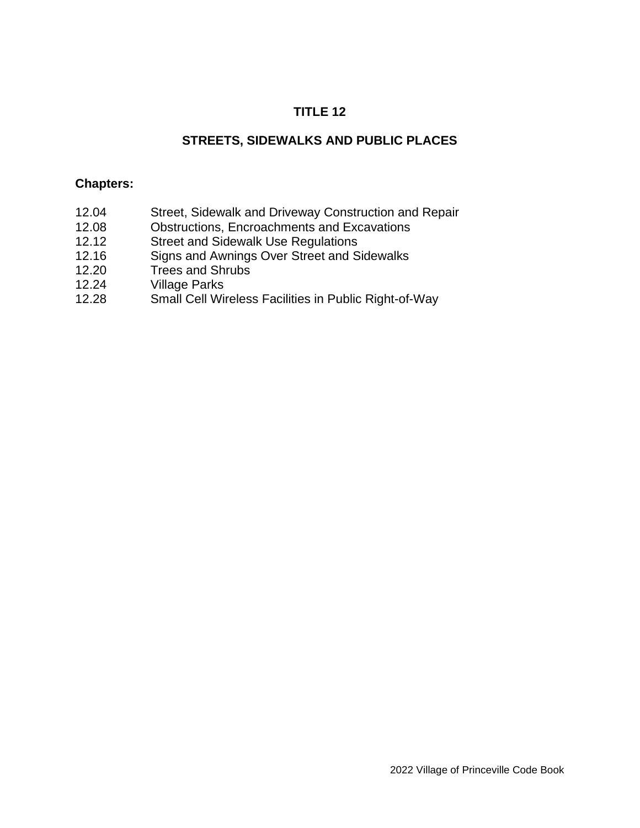# **TITLE 12**

# **STREETS, SIDEWALKS AND PUBLIC PLACES**

#### **Chapters:**

- 12.04 Street, Sidewalk and Driveway Construction and Repair
- 12.08 Obstructions, Encroachments and Excavations
- 12.12 Street and Sidewalk Use Regulations
- 12.16 Signs and Awnings Over Street and Sidewalks
- 12.20 Trees and Shrubs
- 12.24 Village Parks
- 12.28 Small Cell Wireless Facilities in Public Right-of-Way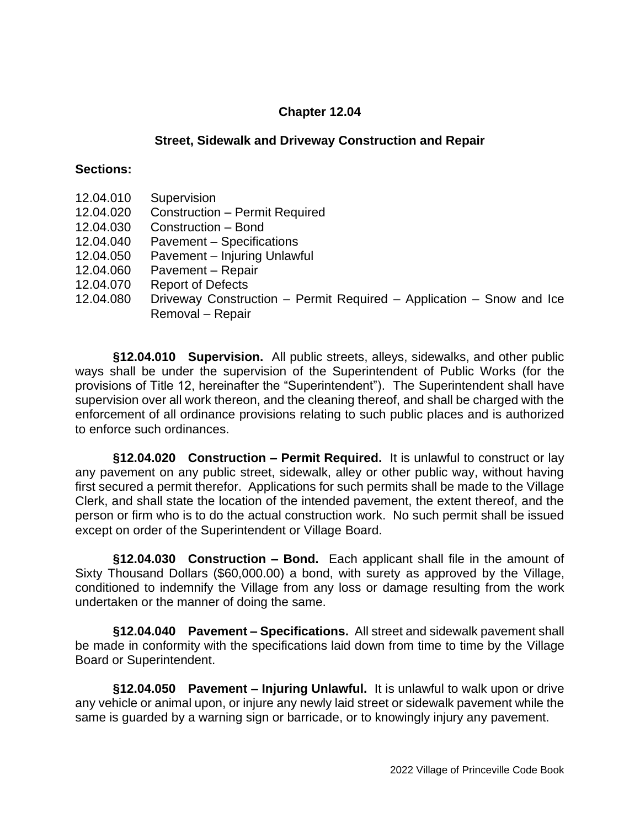### **Street, Sidewalk and Driveway Construction and Repair**

#### **Sections:**

- 12.04.010 Supervision
- 12.04.020 Construction Permit Required
- 12.04.030 Construction Bond
- 12.04.040 Pavement Specifications
- 12.04.050 Pavement Injuring Unlawful
- 12.04.060 Pavement Repair
- 12.04.070 Report of Defects
- 12.04.080 Driveway Construction Permit Required Application Snow and Ice Removal – Repair

**§12.04.010 Supervision.** All public streets, alleys, sidewalks, and other public ways shall be under the supervision of the Superintendent of Public Works (for the provisions of Title 12, hereinafter the "Superintendent"). The Superintendent shall have supervision over all work thereon, and the cleaning thereof, and shall be charged with the enforcement of all ordinance provisions relating to such public places and is authorized to enforce such ordinances.

**§12.04.020 Construction – Permit Required.** It is unlawful to construct or lay any pavement on any public street, sidewalk, alley or other public way, without having first secured a permit therefor. Applications for such permits shall be made to the Village Clerk, and shall state the location of the intended pavement, the extent thereof, and the person or firm who is to do the actual construction work. No such permit shall be issued except on order of the Superintendent or Village Board.

**§12.04.030 Construction – Bond.** Each applicant shall file in the amount of Sixty Thousand Dollars (\$60,000.00) a bond, with surety as approved by the Village, conditioned to indemnify the Village from any loss or damage resulting from the work undertaken or the manner of doing the same.

**§12.04.040 Pavement – Specifications.** All street and sidewalk pavement shall be made in conformity with the specifications laid down from time to time by the Village Board or Superintendent.

**§12.04.050 Pavement – Injuring Unlawful.** It is unlawful to walk upon or drive any vehicle or animal upon, or injure any newly laid street or sidewalk pavement while the same is guarded by a warning sign or barricade, or to knowingly injury any pavement.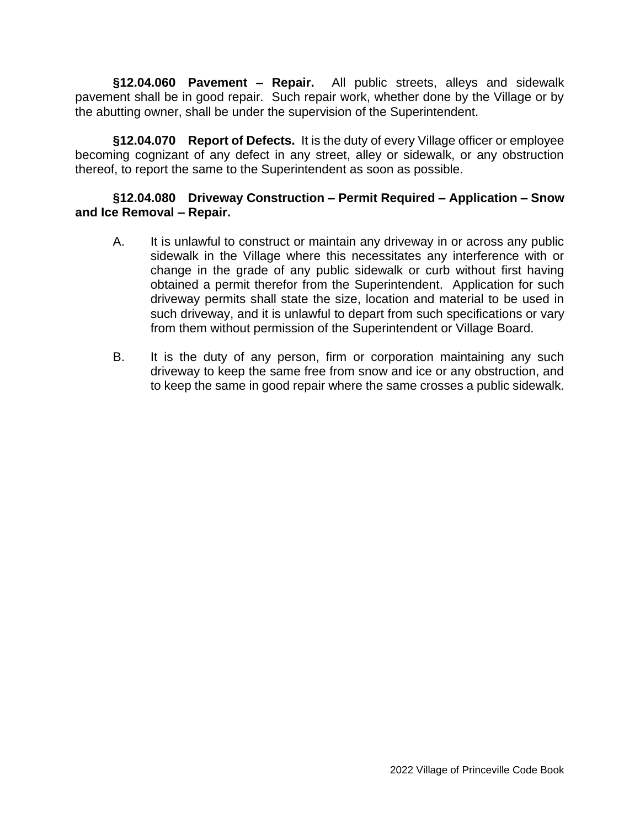**§12.04.060 Pavement – Repair.** All public streets, alleys and sidewalk pavement shall be in good repair. Such repair work, whether done by the Village or by the abutting owner, shall be under the supervision of the Superintendent.

**§12.04.070 Report of Defects.** It is the duty of every Village officer or employee becoming cognizant of any defect in any street, alley or sidewalk, or any obstruction thereof, to report the same to the Superintendent as soon as possible.

### **§12.04.080 Driveway Construction – Permit Required – Application – Snow and Ice Removal – Repair.**

- A. It is unlawful to construct or maintain any driveway in or across any public sidewalk in the Village where this necessitates any interference with or change in the grade of any public sidewalk or curb without first having obtained a permit therefor from the Superintendent. Application for such driveway permits shall state the size, location and material to be used in such driveway, and it is unlawful to depart from such specifications or vary from them without permission of the Superintendent or Village Board.
- B. It is the duty of any person, firm or corporation maintaining any such driveway to keep the same free from snow and ice or any obstruction, and to keep the same in good repair where the same crosses a public sidewalk.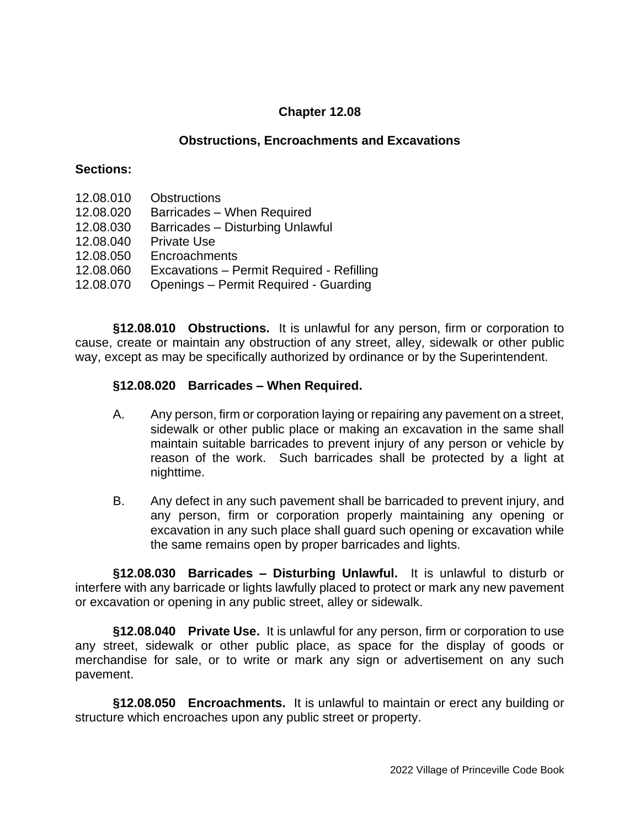#### **Obstructions, Encroachments and Excavations**

#### **Sections:**

- 12.08.010 Obstructions
- 12.08.020 Barricades When Required
- 12.08.030 Barricades Disturbing Unlawful
- 12.08.040 Private Use
- 12.08.050 Encroachments
- 12.08.060 Excavations Permit Required Refilling
- 12.08.070 Openings Permit Required Guarding

**§12.08.010 Obstructions.** It is unlawful for any person, firm or corporation to cause, create or maintain any obstruction of any street, alley, sidewalk or other public way, except as may be specifically authorized by ordinance or by the Superintendent.

#### **§12.08.020 Barricades – When Required.**

- A. Any person, firm or corporation laying or repairing any pavement on a street, sidewalk or other public place or making an excavation in the same shall maintain suitable barricades to prevent injury of any person or vehicle by reason of the work. Such barricades shall be protected by a light at nighttime.
- B. Any defect in any such pavement shall be barricaded to prevent injury, and any person, firm or corporation properly maintaining any opening or excavation in any such place shall guard such opening or excavation while the same remains open by proper barricades and lights.

**§12.08.030 Barricades – Disturbing Unlawful.** It is unlawful to disturb or interfere with any barricade or lights lawfully placed to protect or mark any new pavement or excavation or opening in any public street, alley or sidewalk.

**§12.08.040 Private Use.** It is unlawful for any person, firm or corporation to use any street, sidewalk or other public place, as space for the display of goods or merchandise for sale, or to write or mark any sign or advertisement on any such pavement.

**§12.08.050 Encroachments.** It is unlawful to maintain or erect any building or structure which encroaches upon any public street or property.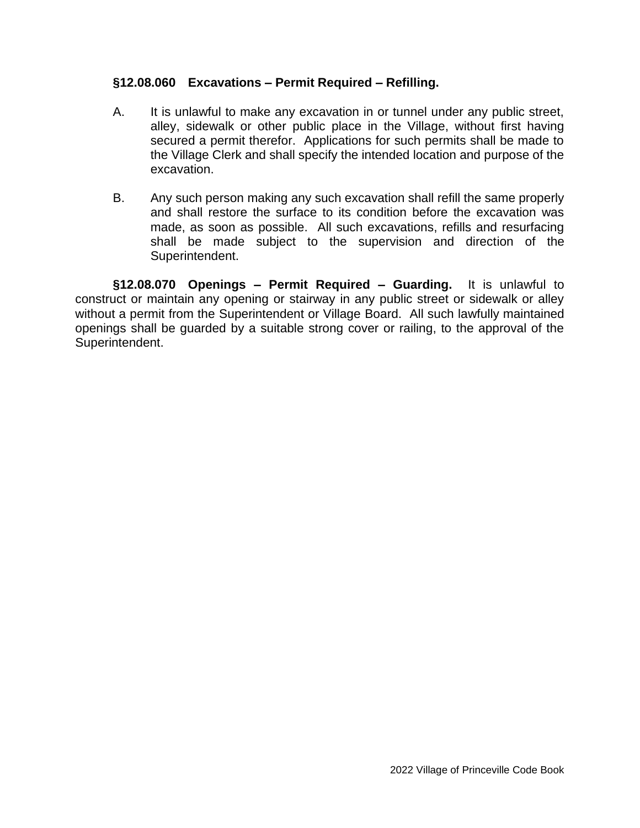### **§12.08.060 Excavations – Permit Required – Refilling.**

- A. It is unlawful to make any excavation in or tunnel under any public street, alley, sidewalk or other public place in the Village, without first having secured a permit therefor. Applications for such permits shall be made to the Village Clerk and shall specify the intended location and purpose of the excavation.
- B. Any such person making any such excavation shall refill the same properly and shall restore the surface to its condition before the excavation was made, as soon as possible. All such excavations, refills and resurfacing shall be made subject to the supervision and direction of the Superintendent.

**§12.08.070 Openings – Permit Required – Guarding.** It is unlawful to construct or maintain any opening or stairway in any public street or sidewalk or alley without a permit from the Superintendent or Village Board. All such lawfully maintained openings shall be guarded by a suitable strong cover or railing, to the approval of the Superintendent.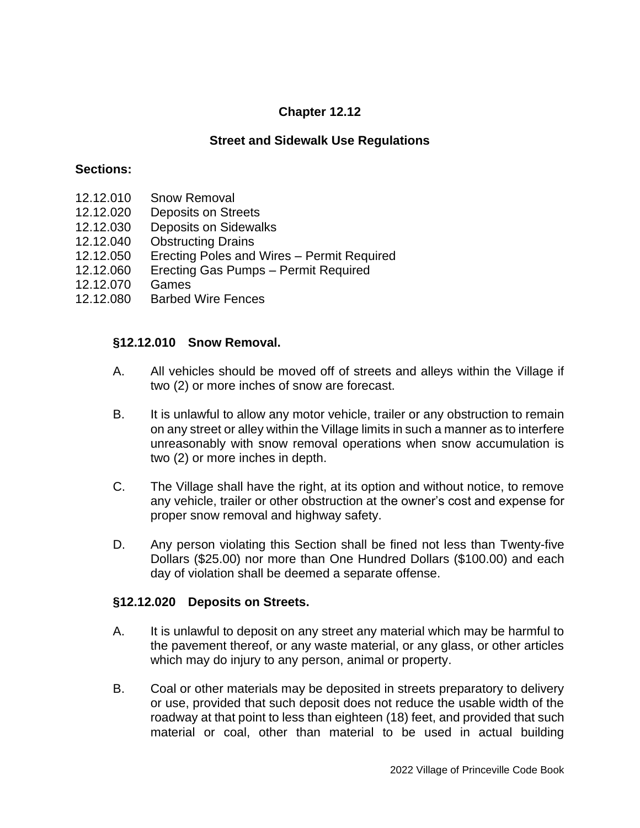## **Street and Sidewalk Use Regulations**

#### **Sections:**

- 12.12.010 Snow Removal
- 12.12.020 Deposits on Streets
- 12.12.030 Deposits on Sidewalks
- 12.12.040 Obstructing Drains
- 12.12.050 Erecting Poles and Wires Permit Required
- 12.12.060 Erecting Gas Pumps Permit Required
- 12.12.070 Games
- 12.12.080 Barbed Wire Fences

#### **§12.12.010 Snow Removal.**

- A. All vehicles should be moved off of streets and alleys within the Village if two (2) or more inches of snow are forecast.
- B. It is unlawful to allow any motor vehicle, trailer or any obstruction to remain on any street or alley within the Village limits in such a manner as to interfere unreasonably with snow removal operations when snow accumulation is two (2) or more inches in depth.
- C. The Village shall have the right, at its option and without notice, to remove any vehicle, trailer or other obstruction at the owner's cost and expense for proper snow removal and highway safety.
- D. Any person violating this Section shall be fined not less than Twenty-five Dollars (\$25.00) nor more than One Hundred Dollars (\$100.00) and each day of violation shall be deemed a separate offense.

#### **§12.12.020 Deposits on Streets.**

- A. It is unlawful to deposit on any street any material which may be harmful to the pavement thereof, or any waste material, or any glass, or other articles which may do injury to any person, animal or property.
- B. Coal or other materials may be deposited in streets preparatory to delivery or use, provided that such deposit does not reduce the usable width of the roadway at that point to less than eighteen (18) feet, and provided that such material or coal, other than material to be used in actual building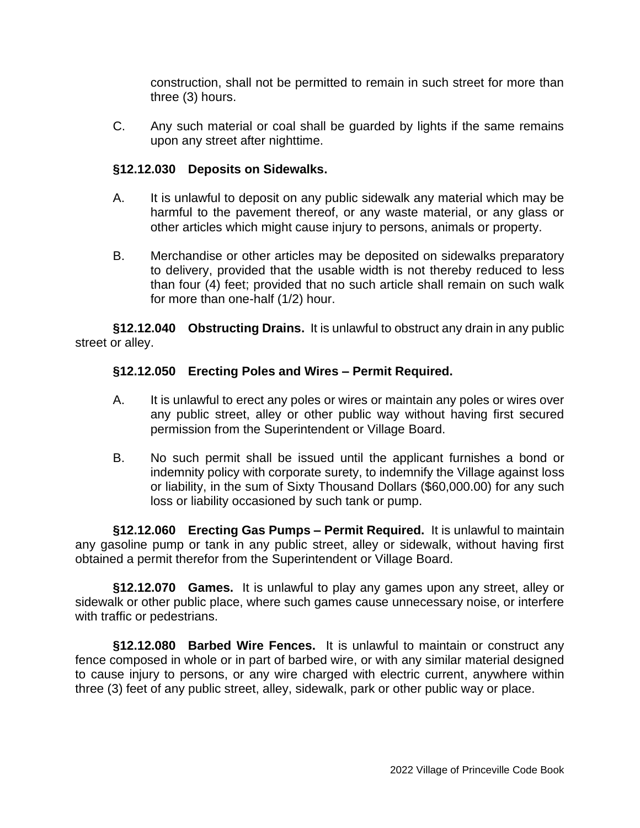construction, shall not be permitted to remain in such street for more than three (3) hours.

C. Any such material or coal shall be guarded by lights if the same remains upon any street after nighttime.

# **§12.12.030 Deposits on Sidewalks.**

- A. It is unlawful to deposit on any public sidewalk any material which may be harmful to the pavement thereof, or any waste material, or any glass or other articles which might cause injury to persons, animals or property.
- B. Merchandise or other articles may be deposited on sidewalks preparatory to delivery, provided that the usable width is not thereby reduced to less than four (4) feet; provided that no such article shall remain on such walk for more than one-half (1/2) hour.

**§12.12.040 Obstructing Drains.** It is unlawful to obstruct any drain in any public street or alley.

# **§12.12.050 Erecting Poles and Wires – Permit Required.**

- A. It is unlawful to erect any poles or wires or maintain any poles or wires over any public street, alley or other public way without having first secured permission from the Superintendent or Village Board.
- B. No such permit shall be issued until the applicant furnishes a bond or indemnity policy with corporate surety, to indemnify the Village against loss or liability, in the sum of Sixty Thousand Dollars (\$60,000.00) for any such loss or liability occasioned by such tank or pump.

**§12.12.060 Erecting Gas Pumps – Permit Required.** It is unlawful to maintain any gasoline pump or tank in any public street, alley or sidewalk, without having first obtained a permit therefor from the Superintendent or Village Board.

**§12.12.070 Games.** It is unlawful to play any games upon any street, alley or sidewalk or other public place, where such games cause unnecessary noise, or interfere with traffic or pedestrians.

**§12.12.080 Barbed Wire Fences.** It is unlawful to maintain or construct any fence composed in whole or in part of barbed wire, or with any similar material designed to cause injury to persons, or any wire charged with electric current, anywhere within three (3) feet of any public street, alley, sidewalk, park or other public way or place.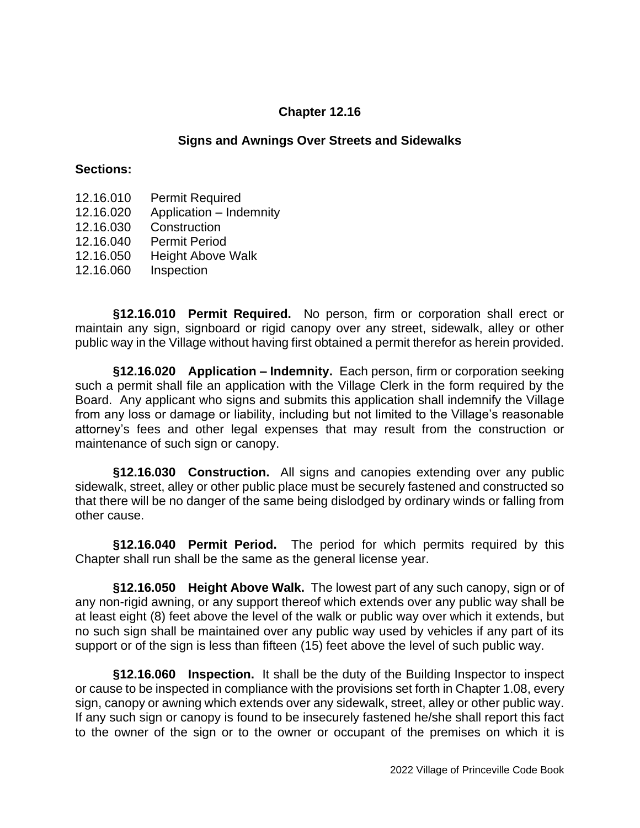#### **Signs and Awnings Over Streets and Sidewalks**

#### **Sections:**

- 12.16.010 Permit Required
- 12.16.020 Application Indemnity
- 12.16.030 Construction
- 12.16.040 Permit Period
- 12.16.050 Height Above Walk
- 12.16.060 Inspection

**§12.16.010 Permit Required.** No person, firm or corporation shall erect or maintain any sign, signboard or rigid canopy over any street, sidewalk, alley or other public way in the Village without having first obtained a permit therefor as herein provided.

**§12.16.020 Application – Indemnity.** Each person, firm or corporation seeking such a permit shall file an application with the Village Clerk in the form required by the Board. Any applicant who signs and submits this application shall indemnify the Village from any loss or damage or liability, including but not limited to the Village's reasonable attorney's fees and other legal expenses that may result from the construction or maintenance of such sign or canopy.

**§12.16.030 Construction.** All signs and canopies extending over any public sidewalk, street, alley or other public place must be securely fastened and constructed so that there will be no danger of the same being dislodged by ordinary winds or falling from other cause.

**§12.16.040 Permit Period.** The period for which permits required by this Chapter shall run shall be the same as the general license year.

**§12.16.050 Height Above Walk.** The lowest part of any such canopy, sign or of any non-rigid awning, or any support thereof which extends over any public way shall be at least eight (8) feet above the level of the walk or public way over which it extends, but no such sign shall be maintained over any public way used by vehicles if any part of its support or of the sign is less than fifteen (15) feet above the level of such public way.

**§12.16.060 Inspection.** It shall be the duty of the Building Inspector to inspect or cause to be inspected in compliance with the provisions set forth in Chapter 1.08, every sign, canopy or awning which extends over any sidewalk, street, alley or other public way. If any such sign or canopy is found to be insecurely fastened he/she shall report this fact to the owner of the sign or to the owner or occupant of the premises on which it is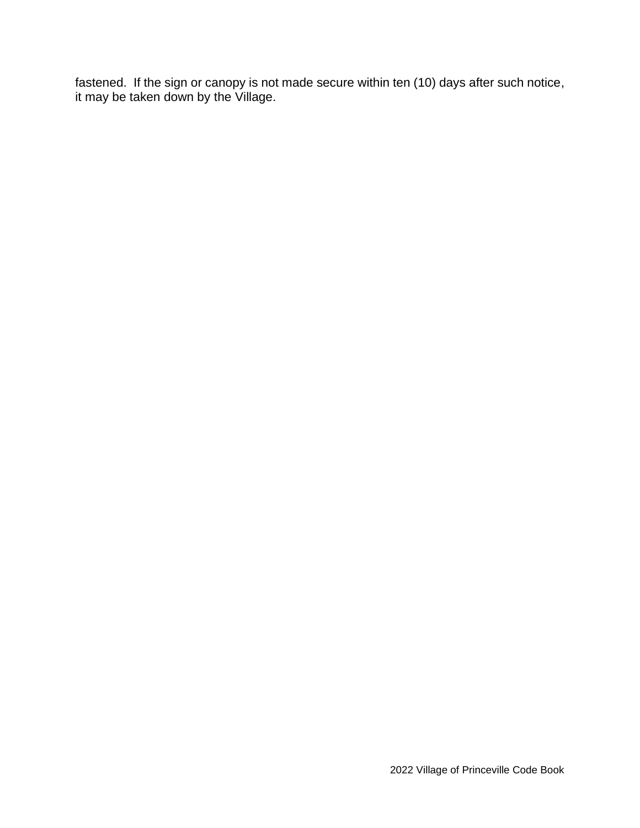fastened. If the sign or canopy is not made secure within ten (10) days after such notice, it may be taken down by the Village.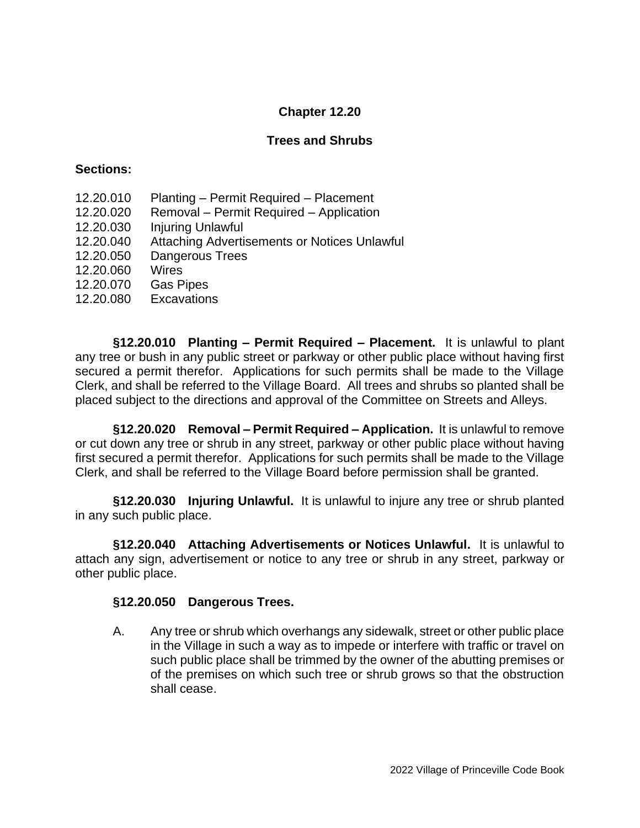## **Trees and Shrubs**

### **Sections:**

- 12.20.010 Planting Permit Required Placement
- 12.20.020 Removal Permit Required Application
- 12.20.030 Injuring Unlawful
- 12.20.040 Attaching Advertisements or Notices Unlawful
- 12.20.050 Dangerous Trees
- 12.20.060 Wires
- 12.20.070 Gas Pipes
- 12.20.080 Excavations

**§12.20.010 Planting – Permit Required – Placement.** It is unlawful to plant any tree or bush in any public street or parkway or other public place without having first secured a permit therefor. Applications for such permits shall be made to the Village Clerk, and shall be referred to the Village Board. All trees and shrubs so planted shall be placed subject to the directions and approval of the Committee on Streets and Alleys.

**§12.20.020 Removal – Permit Required – Application.** It is unlawful to remove or cut down any tree or shrub in any street, parkway or other public place without having first secured a permit therefor. Applications for such permits shall be made to the Village Clerk, and shall be referred to the Village Board before permission shall be granted.

**§12.20.030 Injuring Unlawful.** It is unlawful to injure any tree or shrub planted in any such public place.

**§12.20.040 Attaching Advertisements or Notices Unlawful.** It is unlawful to attach any sign, advertisement or notice to any tree or shrub in any street, parkway or other public place.

### **§12.20.050 Dangerous Trees.**

A. Any tree or shrub which overhangs any sidewalk, street or other public place in the Village in such a way as to impede or interfere with traffic or travel on such public place shall be trimmed by the owner of the abutting premises or of the premises on which such tree or shrub grows so that the obstruction shall cease.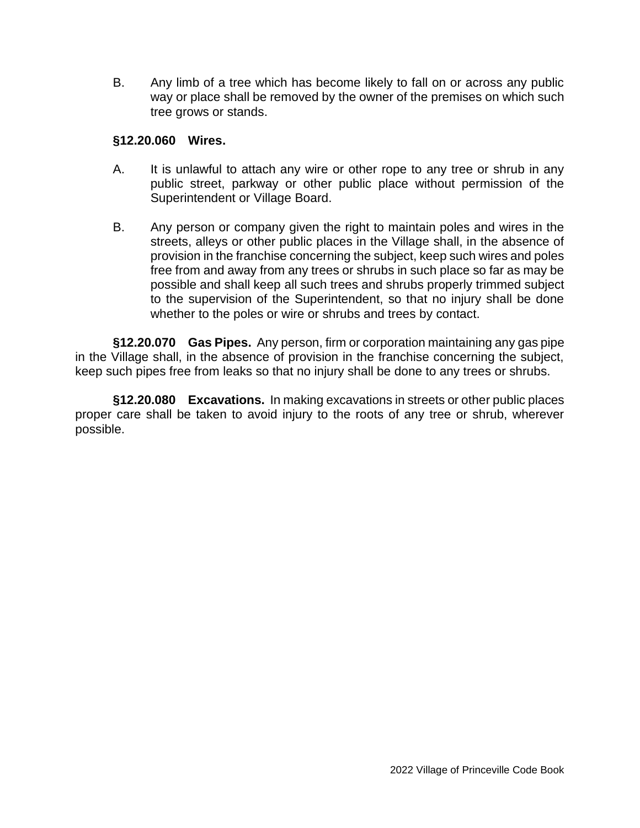B. Any limb of a tree which has become likely to fall on or across any public way or place shall be removed by the owner of the premises on which such tree grows or stands.

### **§12.20.060 Wires.**

- A. It is unlawful to attach any wire or other rope to any tree or shrub in any public street, parkway or other public place without permission of the Superintendent or Village Board.
- B. Any person or company given the right to maintain poles and wires in the streets, alleys or other public places in the Village shall, in the absence of provision in the franchise concerning the subject, keep such wires and poles free from and away from any trees or shrubs in such place so far as may be possible and shall keep all such trees and shrubs properly trimmed subject to the supervision of the Superintendent, so that no injury shall be done whether to the poles or wire or shrubs and trees by contact.

**§12.20.070 Gas Pipes.** Any person, firm or corporation maintaining any gas pipe in the Village shall, in the absence of provision in the franchise concerning the subject, keep such pipes free from leaks so that no injury shall be done to any trees or shrubs.

**§12.20.080 Excavations.** In making excavations in streets or other public places proper care shall be taken to avoid injury to the roots of any tree or shrub, wherever possible.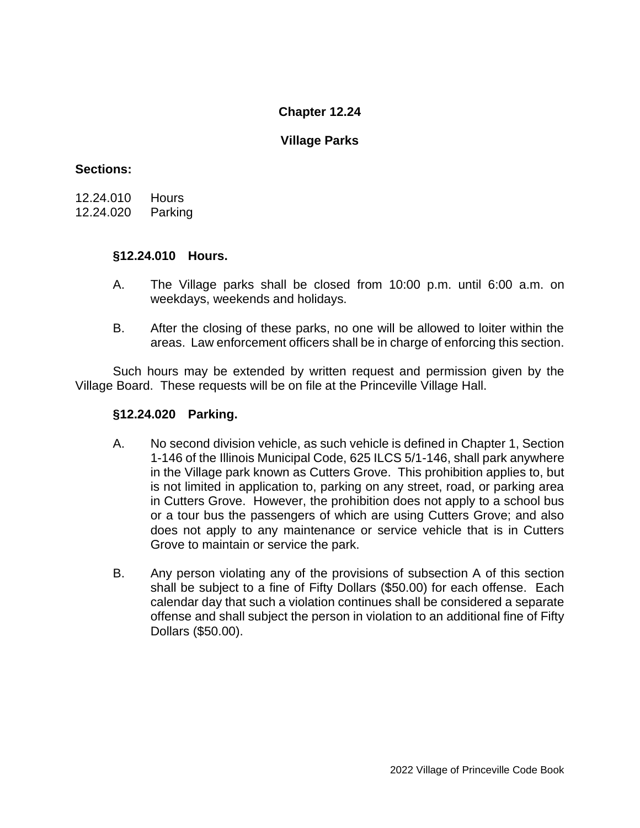## **Village Parks**

## **Sections:**

12.24.010 Hours 12.24.020 Parking

## **§12.24.010 Hours.**

- A. The Village parks shall be closed from 10:00 p.m. until 6:00 a.m. on weekdays, weekends and holidays.
- B. After the closing of these parks, no one will be allowed to loiter within the areas. Law enforcement officers shall be in charge of enforcing this section.

Such hours may be extended by written request and permission given by the Village Board. These requests will be on file at the Princeville Village Hall.

## **§12.24.020 Parking.**

- A. No second division vehicle, as such vehicle is defined in Chapter 1, Section 1-146 of the Illinois Municipal Code, 625 ILCS 5/1-146, shall park anywhere in the Village park known as Cutters Grove. This prohibition applies to, but is not limited in application to, parking on any street, road, or parking area in Cutters Grove. However, the prohibition does not apply to a school bus or a tour bus the passengers of which are using Cutters Grove; and also does not apply to any maintenance or service vehicle that is in Cutters Grove to maintain or service the park.
- B. Any person violating any of the provisions of subsection A of this section shall be subject to a fine of Fifty Dollars (\$50.00) for each offense. Each calendar day that such a violation continues shall be considered a separate offense and shall subject the person in violation to an additional fine of Fifty Dollars (\$50.00).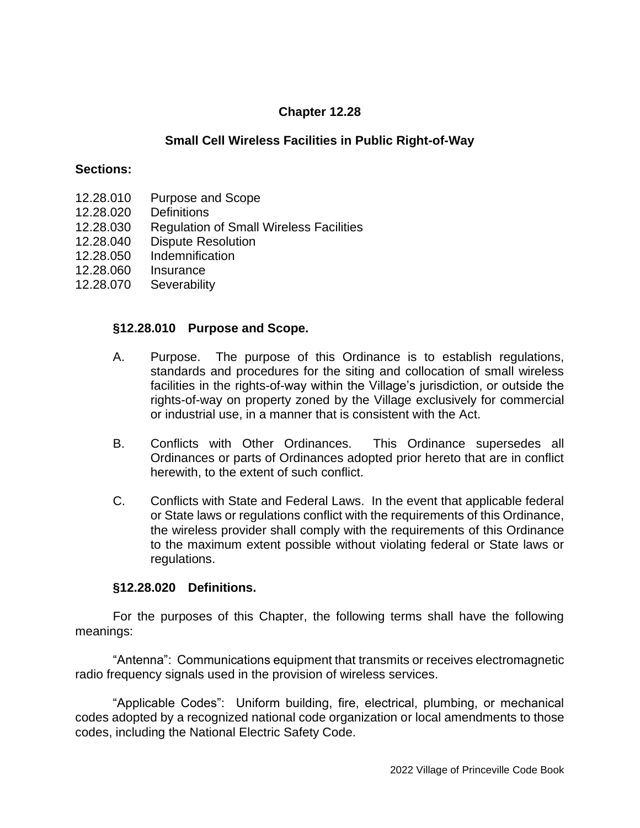## **Small Cell Wireless Facilities in Public Right-of-Way**

#### **Sections:**

- 12.28.010 Purpose and Scope
- 12.28.020 Definitions
- 12.28.030 Regulation of Small Wireless Facilities
- 12.28.040 Dispute Resolution
- 12.28.050 Indemnification
- 12.28.060 Insurance
- 12.28.070 Severability

#### **§12.28.010 Purpose and Scope.**

- A. Purpose. The purpose of this Ordinance is to establish regulations, standards and procedures for the siting and collocation of small wireless facilities in the rights-of-way within the Village's jurisdiction, or outside the rights-of-way on property zoned by the Village exclusively for commercial or industrial use, in a manner that is consistent with the Act.
- B. Conflicts with Other Ordinances. This Ordinance supersedes all Ordinances or parts of Ordinances adopted prior hereto that are in conflict herewith, to the extent of such conflict.
- C. Conflicts with State and Federal Laws. In the event that applicable federal or State laws or regulations conflict with the requirements of this Ordinance, the wireless provider shall comply with the requirements of this Ordinance to the maximum extent possible without violating federal or State laws or regulations.

#### **§12.28.020 Definitions.**

For the purposes of this Chapter, the following terms shall have the following meanings:

"Antenna": Communications equipment that transmits or receives electromagnetic radio frequency signals used in the provision of wireless services.

"Applicable Codes": Uniform building, fire, electrical, plumbing, or mechanical codes adopted by a recognized national code organization or local amendments to those codes, including the National Electric Safety Code.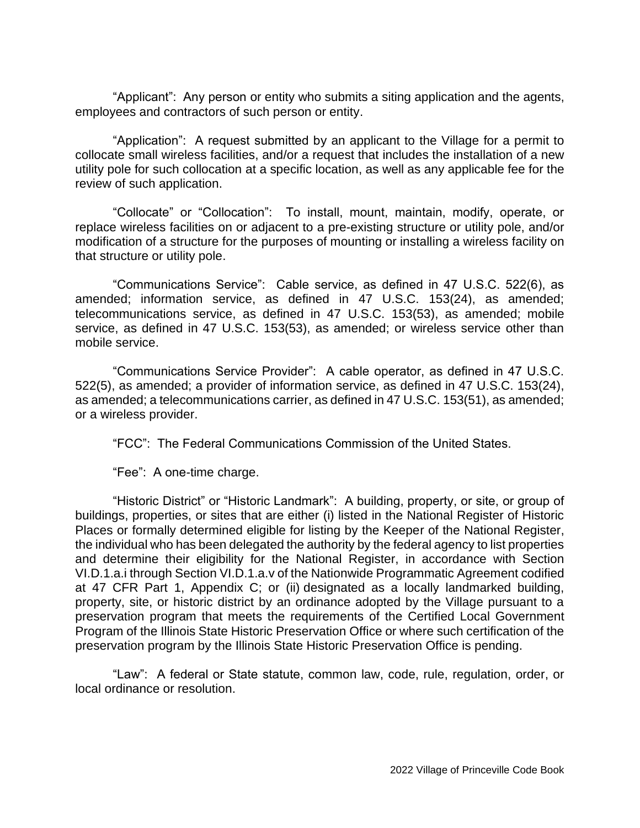"Applicant": Any person or entity who submits a siting application and the agents, employees and contractors of such person or entity.

"Application": A request submitted by an applicant to the Village for a permit to collocate small wireless facilities, and/or a request that includes the installation of a new utility pole for such collocation at a specific location, as well as any applicable fee for the review of such application.

"Collocate" or "Collocation": To install, mount, maintain, modify, operate, or replace wireless facilities on or adjacent to a pre-existing structure or utility pole, and/or modification of a structure for the purposes of mounting or installing a wireless facility on that structure or utility pole.

"Communications Service": Cable service, as defined in 47 U.S.C. 522(6), as amended; information service, as defined in 47 U.S.C. 153(24), as amended; telecommunications service, as defined in 47 U.S.C. 153(53), as amended; mobile service, as defined in 47 U.S.C. 153(53), as amended; or wireless service other than mobile service.

"Communications Service Provider": A cable operator, as defined in 47 U.S.C. 522(5), as amended; a provider of information service, as defined in 47 U.S.C. 153(24), as amended; a telecommunications carrier, as defined in 47 U.S.C. 153(51), as amended; or a wireless provider.

"FCC": The Federal Communications Commission of the United States.

"Fee": A one-time charge.

"Historic District" or "Historic Landmark": A building, property, or site, or group of buildings, properties, or sites that are either (i) listed in the National Register of Historic Places or formally determined eligible for listing by the Keeper of the National Register, the individual who has been delegated the authority by the federal agency to list properties and determine their eligibility for the National Register, in accordance with Section VI.D.1.a.i through Section VI.D.1.a.v of the Nationwide Programmatic Agreement codified at 47 CFR Part 1, Appendix C; or (ii) designated as a locally landmarked building, property, site, or historic district by an ordinance adopted by the Village pursuant to a preservation program that meets the requirements of the Certified Local Government Program of the Illinois State Historic Preservation Office or where such certification of the preservation program by the Illinois State Historic Preservation Office is pending.

"Law": A federal or State statute, common law, code, rule, regulation, order, or local ordinance or resolution.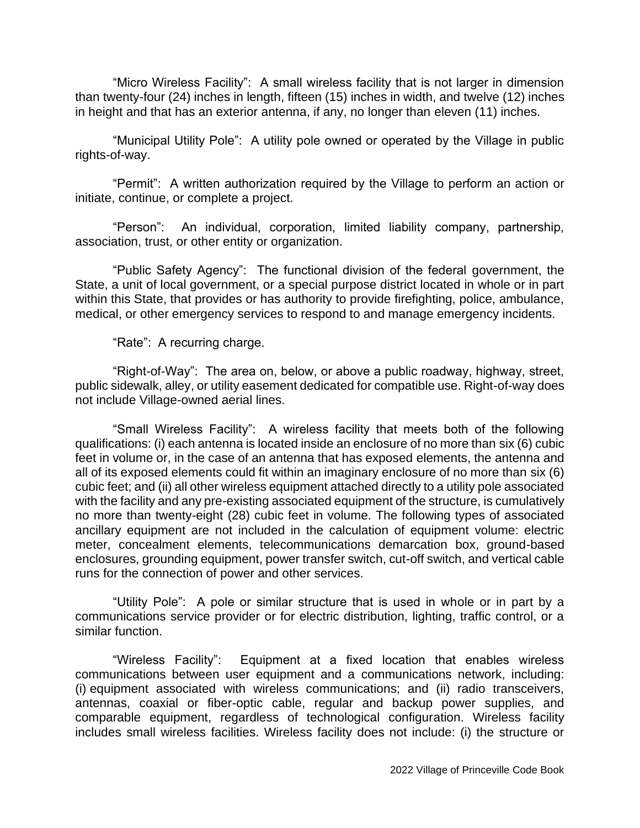"Micro Wireless Facility": A small wireless facility that is not larger in dimension than twenty-four (24) inches in length, fifteen (15) inches in width, and twelve (12) inches in height and that has an exterior antenna, if any, no longer than eleven (11) inches.

"Municipal Utility Pole": A utility pole owned or operated by the Village in public rights-of-way.

"Permit": A written authorization required by the Village to perform an action or initiate, continue, or complete a project.

"Person": An individual, corporation, limited liability company, partnership, association, trust, or other entity or organization.

"Public Safety Agency": The functional division of the federal government, the State, a unit of local government, or a special purpose district located in whole or in part within this State, that provides or has authority to provide firefighting, police, ambulance, medical, or other emergency services to respond to and manage emergency incidents.

"Rate": A recurring charge.

"Right-of-Way": The area on, below, or above a public roadway, highway, street, public sidewalk, alley, or utility easement dedicated for compatible use. Right-of-way does not include Village-owned aerial lines.

"Small Wireless Facility": A wireless facility that meets both of the following qualifications: (i) each antenna is located inside an enclosure of no more than six (6) cubic feet in volume or, in the case of an antenna that has exposed elements, the antenna and all of its exposed elements could fit within an imaginary enclosure of no more than six (6) cubic feet; and (ii) all other wireless equipment attached directly to a utility pole associated with the facility and any pre-existing associated equipment of the structure, is cumulatively no more than twenty-eight (28) cubic feet in volume. The following types of associated ancillary equipment are not included in the calculation of equipment volume: electric meter, concealment elements, telecommunications demarcation box, ground-based enclosures, grounding equipment, power transfer switch, cut-off switch, and vertical cable runs for the connection of power and other services.

"Utility Pole": A pole or similar structure that is used in whole or in part by a communications service provider or for electric distribution, lighting, traffic control, or a similar function.

"Wireless Facility": Equipment at a fixed location that enables wireless communications between user equipment and a communications network, including: (i) equipment associated with wireless communications; and (ii) radio transceivers, antennas, coaxial or fiber-optic cable, regular and backup power supplies, and comparable equipment, regardless of technological configuration. Wireless facility includes small wireless facilities. Wireless facility does not include: (i) the structure or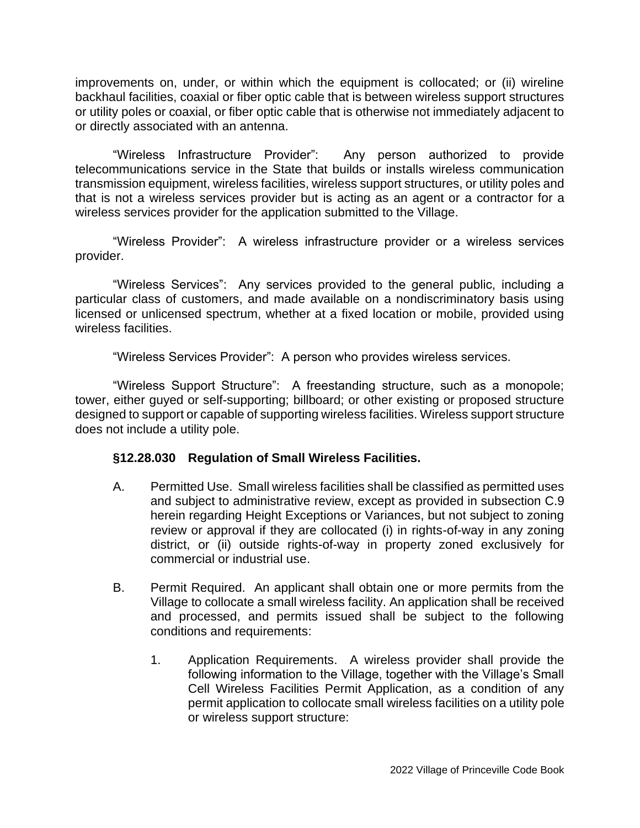improvements on, under, or within which the equipment is collocated; or (ii) wireline backhaul facilities, coaxial or fiber optic cable that is between wireless support structures or utility poles or coaxial, or fiber optic cable that is otherwise not immediately adjacent to or directly associated with an antenna.

"Wireless Infrastructure Provider": Any person authorized to provide telecommunications service in the State that builds or installs wireless communication transmission equipment, wireless facilities, wireless support structures, or utility poles and that is not a wireless services provider but is acting as an agent or a contractor for a wireless services provider for the application submitted to the Village.

"Wireless Provider": A wireless infrastructure provider or a wireless services provider.

"Wireless Services": Any services provided to the general public, including a particular class of customers, and made available on a nondiscriminatory basis using licensed or unlicensed spectrum, whether at a fixed location or mobile, provided using wireless facilities.

"Wireless Services Provider": A person who provides wireless services.

"Wireless Support Structure": A freestanding structure, such as a monopole; tower, either guyed or self-supporting; billboard; or other existing or proposed structure designed to support or capable of supporting wireless facilities. Wireless support structure does not include a utility pole.

### **§12.28.030 Regulation of Small Wireless Facilities.**

- A. Permitted Use. Small wireless facilities shall be classified as permitted uses and subject to administrative review, except as provided in subsection C.9 herein regarding Height Exceptions or Variances, but not subject to zoning review or approval if they are collocated (i) in rights-of-way in any zoning district, or (ii) outside rights-of-way in property zoned exclusively for commercial or industrial use.
- B. Permit Required. An applicant shall obtain one or more permits from the Village to collocate a small wireless facility. An application shall be received and processed, and permits issued shall be subject to the following conditions and requirements:
	- 1. Application Requirements. A wireless provider shall provide the following information to the Village, together with the Village's Small Cell Wireless Facilities Permit Application, as a condition of any permit application to collocate small wireless facilities on a utility pole or wireless support structure: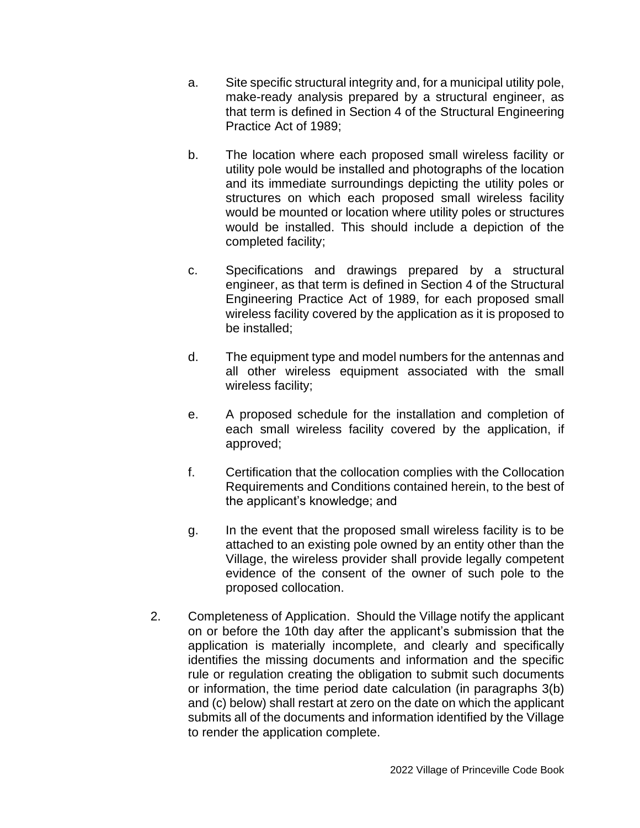- a. Site specific structural integrity and, for a municipal utility pole, make-ready analysis prepared by a structural engineer, as that term is defined in Section 4 of the Structural Engineering Practice Act of 1989;
- b. The location where each proposed small wireless facility or utility pole would be installed and photographs of the location and its immediate surroundings depicting the utility poles or structures on which each proposed small wireless facility would be mounted or location where utility poles or structures would be installed. This should include a depiction of the completed facility;
- c. Specifications and drawings prepared by a structural engineer, as that term is defined in Section 4 of the Structural Engineering Practice Act of 1989, for each proposed small wireless facility covered by the application as it is proposed to be installed;
- d. The equipment type and model numbers for the antennas and all other wireless equipment associated with the small wireless facility;
- e. A proposed schedule for the installation and completion of each small wireless facility covered by the application, if approved;
- f. Certification that the collocation complies with the Collocation Requirements and Conditions contained herein, to the best of the applicant's knowledge; and
- g. In the event that the proposed small wireless facility is to be attached to an existing pole owned by an entity other than the Village, the wireless provider shall provide legally competent evidence of the consent of the owner of such pole to the proposed collocation.
- 2. Completeness of Application. Should the Village notify the applicant on or before the 10th day after the applicant's submission that the application is materially incomplete, and clearly and specifically identifies the missing documents and information and the specific rule or regulation creating the obligation to submit such documents or information, the time period date calculation (in paragraphs 3(b) and (c) below) shall restart at zero on the date on which the applicant submits all of the documents and information identified by the Village to render the application complete.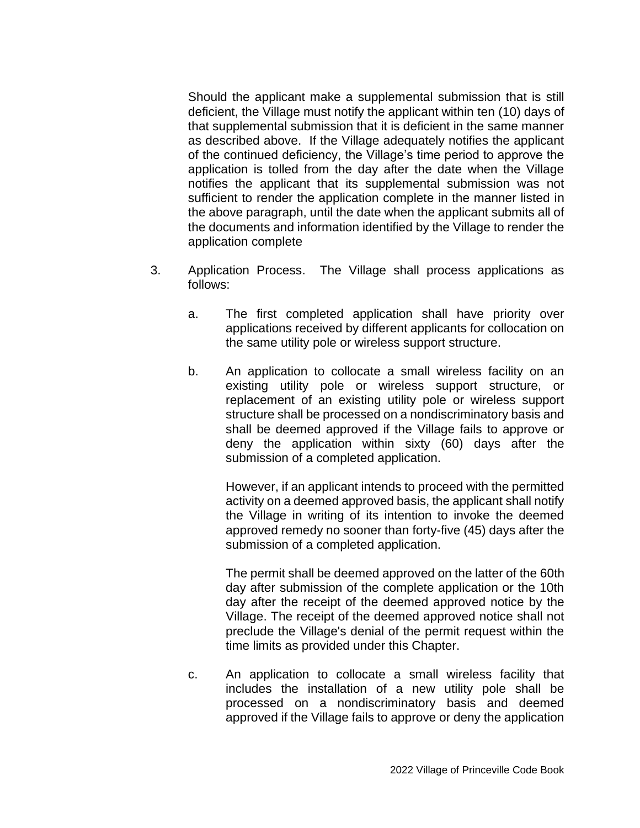Should the applicant make a supplemental submission that is still deficient, the Village must notify the applicant within ten (10) days of that supplemental submission that it is deficient in the same manner as described above. If the Village adequately notifies the applicant of the continued deficiency, the Village's time period to approve the application is tolled from the day after the date when the Village notifies the applicant that its supplemental submission was not sufficient to render the application complete in the manner listed in the above paragraph, until the date when the applicant submits all of the documents and information identified by the Village to render the application complete

- 3. Application Process. The Village shall process applications as follows:
	- a. The first completed application shall have priority over applications received by different applicants for collocation on the same utility pole or wireless support structure.
	- b. An application to collocate a small wireless facility on an existing utility pole or wireless support structure, or replacement of an existing utility pole or wireless support structure shall be processed on a nondiscriminatory basis and shall be deemed approved if the Village fails to approve or deny the application within sixty (60) days after the submission of a completed application.

However, if an applicant intends to proceed with the permitted activity on a deemed approved basis, the applicant shall notify the Village in writing of its intention to invoke the deemed approved remedy no sooner than forty-five (45) days after the submission of a completed application.

The permit shall be deemed approved on the latter of the 60th day after submission of the complete application or the 10th day after the receipt of the deemed approved notice by the Village. The receipt of the deemed approved notice shall not preclude the Village's denial of the permit request within the time limits as provided under this Chapter.

c. An application to collocate a small wireless facility that includes the installation of a new utility pole shall be processed on a nondiscriminatory basis and deemed approved if the Village fails to approve or deny the application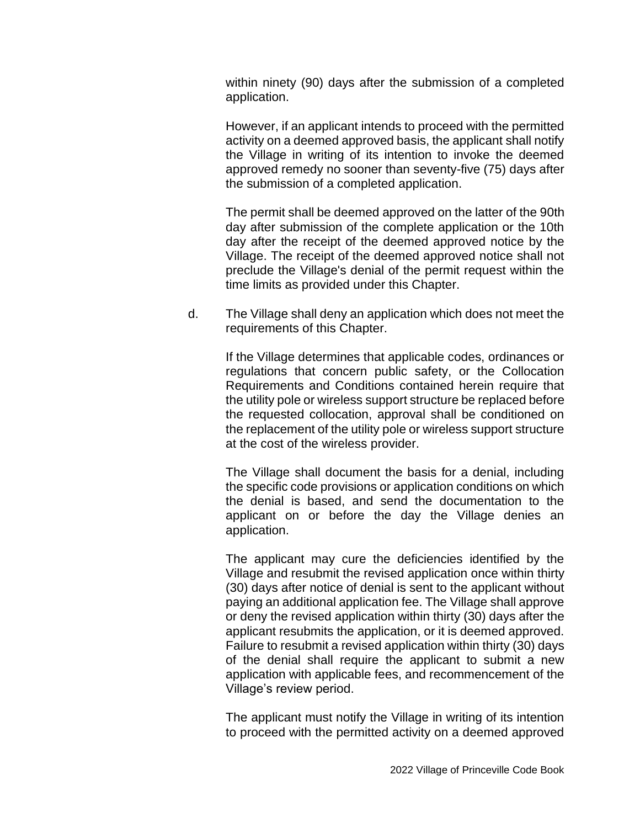within ninety (90) days after the submission of a completed application.

However, if an applicant intends to proceed with the permitted activity on a deemed approved basis, the applicant shall notify the Village in writing of its intention to invoke the deemed approved remedy no sooner than seventy-five (75) days after the submission of a completed application.

The permit shall be deemed approved on the latter of the 90th day after submission of the complete application or the 10th day after the receipt of the deemed approved notice by the Village. The receipt of the deemed approved notice shall not preclude the Village's denial of the permit request within the time limits as provided under this Chapter.

d. The Village shall deny an application which does not meet the requirements of this Chapter.

If the Village determines that applicable codes, ordinances or regulations that concern public safety, or the Collocation Requirements and Conditions contained herein require that the utility pole or wireless support structure be replaced before the requested collocation, approval shall be conditioned on the replacement of the utility pole or wireless support structure at the cost of the wireless provider.

The Village shall document the basis for a denial, including the specific code provisions or application conditions on which the denial is based, and send the documentation to the applicant on or before the day the Village denies an application.

The applicant may cure the deficiencies identified by the Village and resubmit the revised application once within thirty (30) days after notice of denial is sent to the applicant without paying an additional application fee. The Village shall approve or deny the revised application within thirty (30) days after the applicant resubmits the application, or it is deemed approved. Failure to resubmit a revised application within thirty (30) days of the denial shall require the applicant to submit a new application with applicable fees, and recommencement of the Village's review period.

The applicant must notify the Village in writing of its intention to proceed with the permitted activity on a deemed approved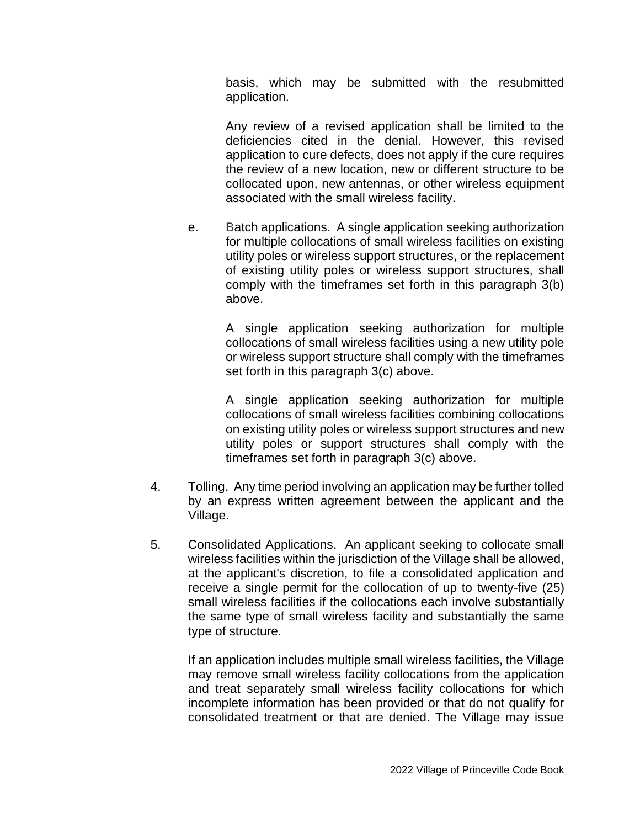basis, which may be submitted with the resubmitted application.

Any review of a revised application shall be limited to the deficiencies cited in the denial. However, this revised application to cure defects, does not apply if the cure requires the review of a new location, new or different structure to be collocated upon, new antennas, or other wireless equipment associated with the small wireless facility.

e. Batch applications. A single application seeking authorization for multiple collocations of small wireless facilities on existing utility poles or wireless support structures, or the replacement of existing utility poles or wireless support structures, shall comply with the timeframes set forth in this paragraph 3(b) above.

> A single application seeking authorization for multiple collocations of small wireless facilities using a new utility pole or wireless support structure shall comply with the timeframes set forth in this paragraph 3(c) above.

> A single application seeking authorization for multiple collocations of small wireless facilities combining collocations on existing utility poles or wireless support structures and new utility poles or support structures shall comply with the timeframes set forth in paragraph 3(c) above.

- 4. Tolling. Any time period involving an application may be further tolled by an express written agreement between the applicant and the Village.
- 5. Consolidated Applications. An applicant seeking to collocate small wireless facilities within the jurisdiction of the Village shall be allowed, at the applicant's discretion, to file a consolidated application and receive a single permit for the collocation of up to twenty-five (25) small wireless facilities if the collocations each involve substantially the same type of small wireless facility and substantially the same type of structure.

If an application includes multiple small wireless facilities, the Village may remove small wireless facility collocations from the application and treat separately small wireless facility collocations for which incomplete information has been provided or that do not qualify for consolidated treatment or that are denied. The Village may issue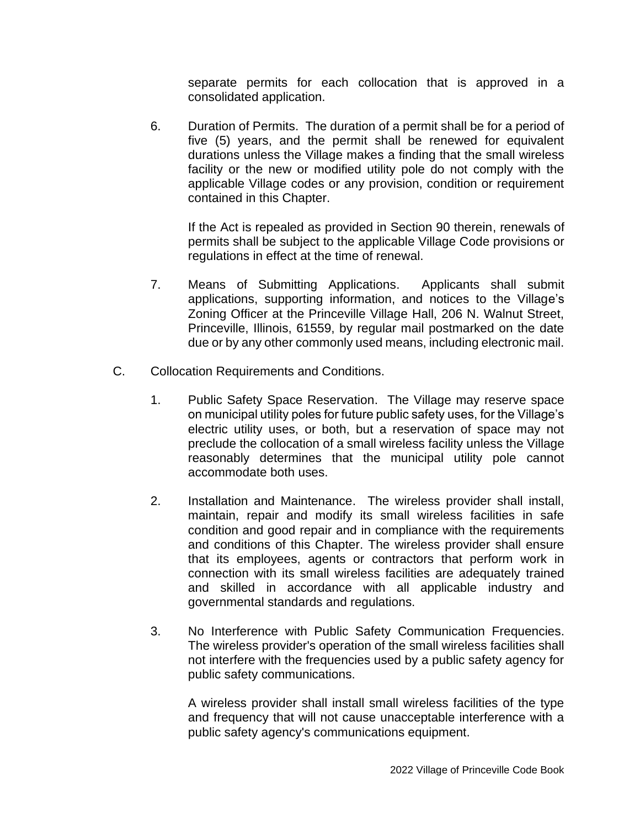separate permits for each collocation that is approved in a consolidated application.

6. Duration of Permits. The duration of a permit shall be for a period of five (5) years, and the permit shall be renewed for equivalent durations unless the Village makes a finding that the small wireless facility or the new or modified utility pole do not comply with the applicable Village codes or any provision, condition or requirement contained in this Chapter.

If the Act is repealed as provided in Section 90 therein, renewals of permits shall be subject to the applicable Village Code provisions or regulations in effect at the time of renewal.

- 7. Means of Submitting Applications. Applicants shall submit applications, supporting information, and notices to the Village's Zoning Officer at the Princeville Village Hall, 206 N. Walnut Street, Princeville, Illinois, 61559, by regular mail postmarked on the date due or by any other commonly used means, including electronic mail.
- C. Collocation Requirements and Conditions.
	- 1. Public Safety Space Reservation. The Village may reserve space on municipal utility poles for future public safety uses, for the Village's electric utility uses, or both, but a reservation of space may not preclude the collocation of a small wireless facility unless the Village reasonably determines that the municipal utility pole cannot accommodate both uses.
	- 2. Installation and Maintenance. The wireless provider shall install, maintain, repair and modify its small wireless facilities in safe condition and good repair and in compliance with the requirements and conditions of this Chapter. The wireless provider shall ensure that its employees, agents or contractors that perform work in connection with its small wireless facilities are adequately trained and skilled in accordance with all applicable industry and governmental standards and regulations.
	- 3. No Interference with Public Safety Communication Frequencies. The wireless provider's operation of the small wireless facilities shall not interfere with the frequencies used by a public safety agency for public safety communications.

A wireless provider shall install small wireless facilities of the type and frequency that will not cause unacceptable interference with a public safety agency's communications equipment.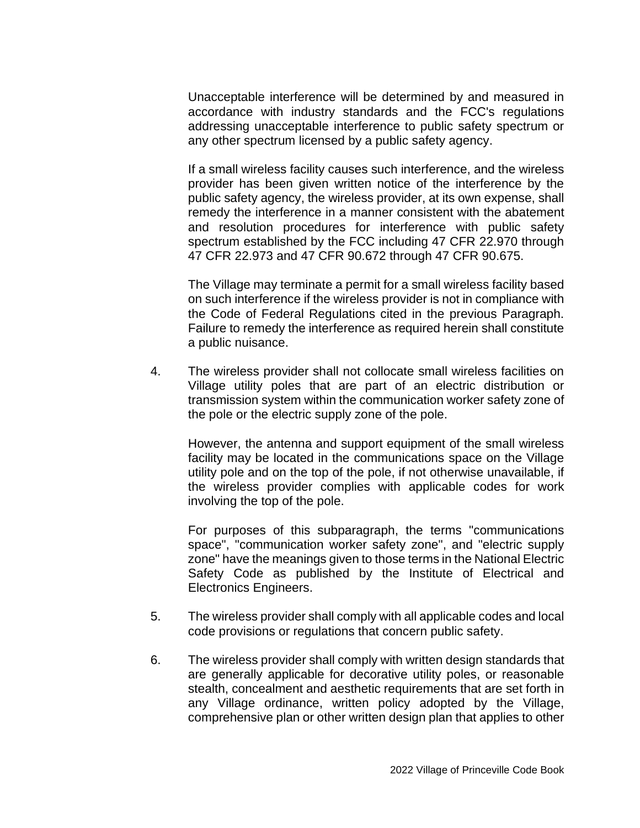Unacceptable interference will be determined by and measured in accordance with industry standards and the FCC's regulations addressing unacceptable interference to public safety spectrum or any other spectrum licensed by a public safety agency.

If a small wireless facility causes such interference, and the wireless provider has been given written notice of the interference by the public safety agency, the wireless provider, at its own expense, shall remedy the interference in a manner consistent with the abatement and resolution procedures for interference with public safety spectrum established by the FCC including 47 CFR 22.970 through 47 CFR 22.973 and 47 CFR 90.672 through 47 CFR 90.675.

The Village may terminate a permit for a small wireless facility based on such interference if the wireless provider is not in compliance with the Code of Federal Regulations cited in the previous Paragraph. Failure to remedy the interference as required herein shall constitute a public nuisance.

4. The wireless provider shall not collocate small wireless facilities on Village utility poles that are part of an electric distribution or transmission system within the communication worker safety zone of the pole or the electric supply zone of the pole.

However, the antenna and support equipment of the small wireless facility may be located in the communications space on the Village utility pole and on the top of the pole, if not otherwise unavailable, if the wireless provider complies with applicable codes for work involving the top of the pole.

For purposes of this subparagraph, the terms "communications space", "communication worker safety zone", and "electric supply zone" have the meanings given to those terms in the National Electric Safety Code as published by the Institute of Electrical and Electronics Engineers.

- 5. The wireless provider shall comply with all applicable codes and local code provisions or regulations that concern public safety.
- 6. The wireless provider shall comply with written design standards that are generally applicable for decorative utility poles, or reasonable stealth, concealment and aesthetic requirements that are set forth in any Village ordinance, written policy adopted by the Village, comprehensive plan or other written design plan that applies to other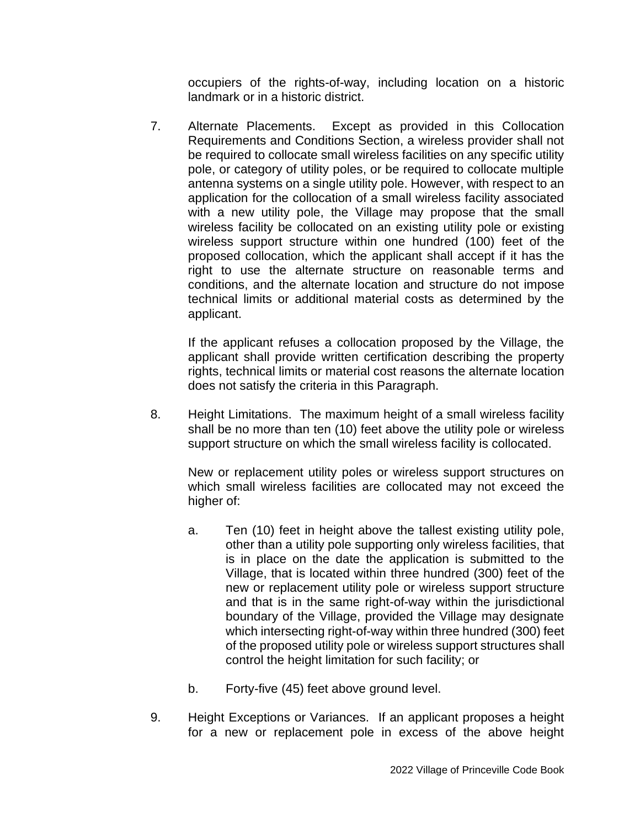occupiers of the rights-of-way, including location on a historic landmark or in a historic district.

7. Alternate Placements. Except as provided in this Collocation Requirements and Conditions Section, a wireless provider shall not be required to collocate small wireless facilities on any specific utility pole, or category of utility poles, or be required to collocate multiple antenna systems on a single utility pole. However, with respect to an application for the collocation of a small wireless facility associated with a new utility pole, the Village may propose that the small wireless facility be collocated on an existing utility pole or existing wireless support structure within one hundred (100) feet of the proposed collocation, which the applicant shall accept if it has the right to use the alternate structure on reasonable terms and conditions, and the alternate location and structure do not impose technical limits or additional material costs as determined by the applicant.

If the applicant refuses a collocation proposed by the Village, the applicant shall provide written certification describing the property rights, technical limits or material cost reasons the alternate location does not satisfy the criteria in this Paragraph.

8. Height Limitations. The maximum height of a small wireless facility shall be no more than ten (10) feet above the utility pole or wireless support structure on which the small wireless facility is collocated.

New or replacement utility poles or wireless support structures on which small wireless facilities are collocated may not exceed the higher of:

- a. Ten (10) feet in height above the tallest existing utility pole, other than a utility pole supporting only wireless facilities, that is in place on the date the application is submitted to the Village, that is located within three hundred (300) feet of the new or replacement utility pole or wireless support structure and that is in the same right-of-way within the jurisdictional boundary of the Village, provided the Village may designate which intersecting right-of-way within three hundred (300) feet of the proposed utility pole or wireless support structures shall control the height limitation for such facility; or
- b. Forty-five (45) feet above ground level.
- 9. Height Exceptions or Variances. If an applicant proposes a height for a new or replacement pole in excess of the above height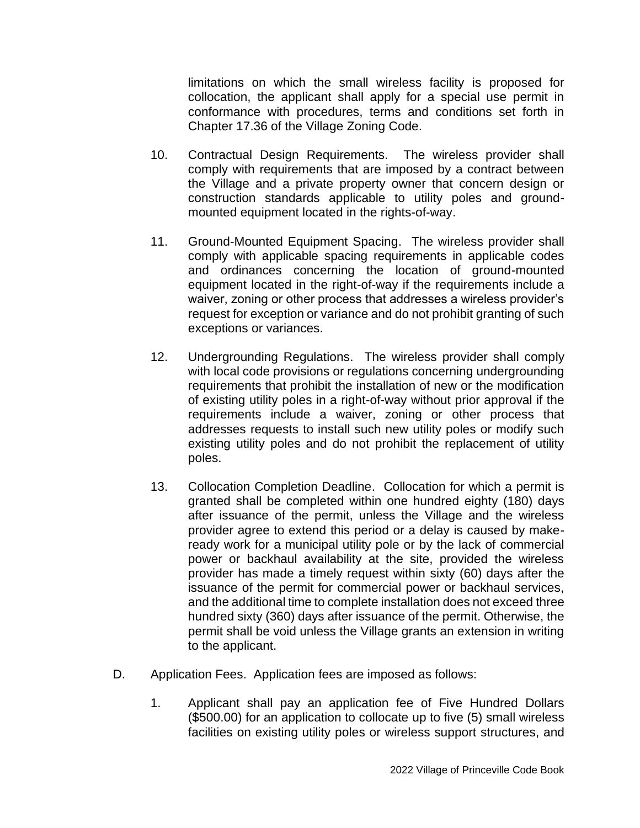limitations on which the small wireless facility is proposed for collocation, the applicant shall apply for a special use permit in conformance with procedures, terms and conditions set forth in Chapter 17.36 of the Village Zoning Code.

- 10. Contractual Design Requirements. The wireless provider shall comply with requirements that are imposed by a contract between the Village and a private property owner that concern design or construction standards applicable to utility poles and groundmounted equipment located in the rights-of-way.
- 11. Ground-Mounted Equipment Spacing. The wireless provider shall comply with applicable spacing requirements in applicable codes and ordinances concerning the location of ground-mounted equipment located in the right-of-way if the requirements include a waiver, zoning or other process that addresses a wireless provider's request for exception or variance and do not prohibit granting of such exceptions or variances.
- 12. Undergrounding Regulations. The wireless provider shall comply with local code provisions or regulations concerning undergrounding requirements that prohibit the installation of new or the modification of existing utility poles in a right-of-way without prior approval if the requirements include a waiver, zoning or other process that addresses requests to install such new utility poles or modify such existing utility poles and do not prohibit the replacement of utility poles.
- 13. Collocation Completion Deadline. Collocation for which a permit is granted shall be completed within one hundred eighty (180) days after issuance of the permit, unless the Village and the wireless provider agree to extend this period or a delay is caused by makeready work for a municipal utility pole or by the lack of commercial power or backhaul availability at the site, provided the wireless provider has made a timely request within sixty (60) days after the issuance of the permit for commercial power or backhaul services, and the additional time to complete installation does not exceed three hundred sixty (360) days after issuance of the permit. Otherwise, the permit shall be void unless the Village grants an extension in writing to the applicant.
- D. Application Fees. Application fees are imposed as follows:
	- 1. Applicant shall pay an application fee of Five Hundred Dollars (\$500.00) for an application to collocate up to five (5) small wireless facilities on existing utility poles or wireless support structures, and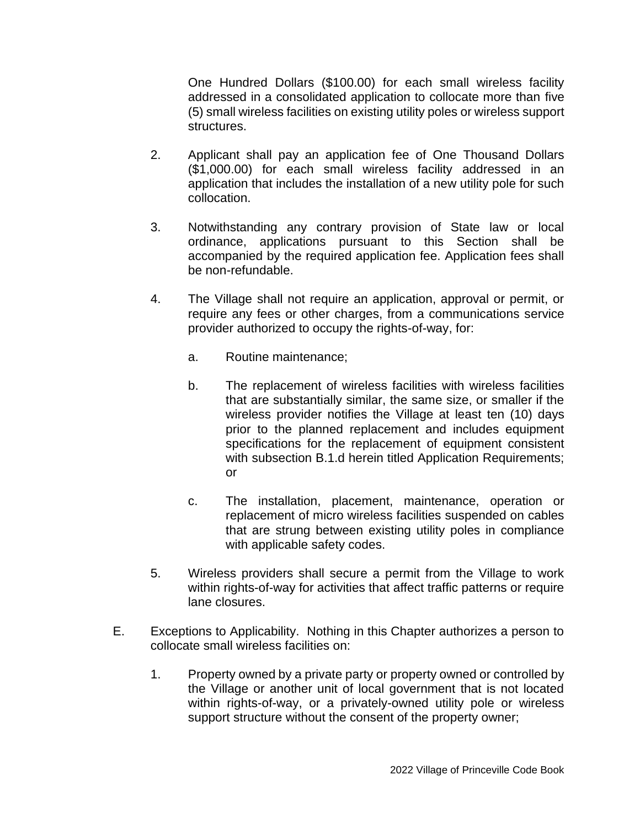One Hundred Dollars (\$100.00) for each small wireless facility addressed in a consolidated application to collocate more than five (5) small wireless facilities on existing utility poles or wireless support structures.

- 2. Applicant shall pay an application fee of One Thousand Dollars (\$1,000.00) for each small wireless facility addressed in an application that includes the installation of a new utility pole for such collocation.
- 3. Notwithstanding any contrary provision of State law or local ordinance, applications pursuant to this Section shall be accompanied by the required application fee. Application fees shall be non-refundable.
- 4. The Village shall not require an application, approval or permit, or require any fees or other charges, from a communications service provider authorized to occupy the rights-of-way, for:
	- a. Routine maintenance;
	- b. The replacement of wireless facilities with wireless facilities that are substantially similar, the same size, or smaller if the wireless provider notifies the Village at least ten (10) days prior to the planned replacement and includes equipment specifications for the replacement of equipment consistent with subsection B.1.d herein titled Application Requirements; or
	- c. The installation, placement, maintenance, operation or replacement of micro wireless facilities suspended on cables that are strung between existing utility poles in compliance with applicable safety codes.
- 5. Wireless providers shall secure a permit from the Village to work within rights-of-way for activities that affect traffic patterns or require lane closures.
- E. Exceptions to Applicability. Nothing in this Chapter authorizes a person to collocate small wireless facilities on:
	- 1. Property owned by a private party or property owned or controlled by the Village or another unit of local government that is not located within rights-of-way, or a privately-owned utility pole or wireless support structure without the consent of the property owner;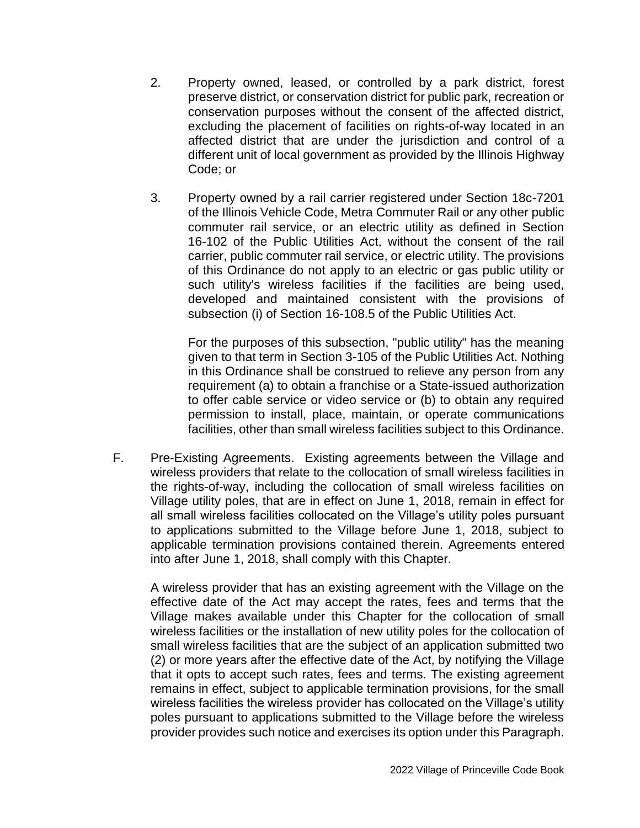- 2. Property owned, leased, or controlled by a park district, forest preserve district, or conservation district for public park, recreation or conservation purposes without the consent of the affected district, excluding the placement of facilities on rights-of-way located in an affected district that are under the jurisdiction and control of a different unit of local government as provided by the Illinois Highway Code; or
- 3. Property owned by a rail carrier registered under Section 18c-7201 of the Illinois Vehicle Code, Metra Commuter Rail or any other public commuter rail service, or an electric utility as defined in Section 16-102 of the Public Utilities Act, without the consent of the rail carrier, public commuter rail service, or electric utility. The provisions of this Ordinance do not apply to an electric or gas public utility or such utility's wireless facilities if the facilities are being used, developed and maintained consistent with the provisions of subsection (i) of Section 16-108.5 of the Public Utilities Act.

For the purposes of this subsection, "public utility" has the meaning given to that term in Section 3-105 of the Public Utilities Act. Nothing in this Ordinance shall be construed to relieve any person from any requirement (a) to obtain a franchise or a State-issued authorization to offer cable service or video service or (b) to obtain any required permission to install, place, maintain, or operate communications facilities, other than small wireless facilities subject to this Ordinance.

F. Pre-Existing Agreements. Existing agreements between the Village and wireless providers that relate to the collocation of small wireless facilities in the rights-of-way, including the collocation of small wireless facilities on Village utility poles, that are in effect on June 1, 2018, remain in effect for all small wireless facilities collocated on the Village's utility poles pursuant to applications submitted to the Village before June 1, 2018, subject to applicable termination provisions contained therein. Agreements entered into after June 1, 2018, shall comply with this Chapter.

A wireless provider that has an existing agreement with the Village on the effective date of the Act may accept the rates, fees and terms that the Village makes available under this Chapter for the collocation of small wireless facilities or the installation of new utility poles for the collocation of small wireless facilities that are the subject of an application submitted two (2) or more years after the effective date of the Act, by notifying the Village that it opts to accept such rates, fees and terms. The existing agreement remains in effect, subject to applicable termination provisions, for the small wireless facilities the wireless provider has collocated on the Village's utility poles pursuant to applications submitted to the Village before the wireless provider provides such notice and exercises its option under this Paragraph.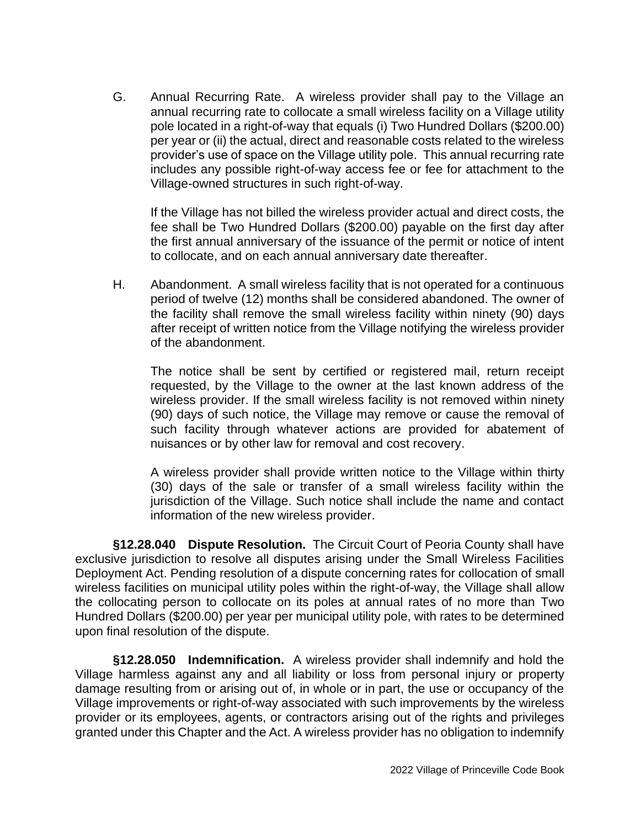G. Annual Recurring Rate. A wireless provider shall pay to the Village an annual recurring rate to collocate a small wireless facility on a Village utility pole located in a right-of-way that equals (i) Two Hundred Dollars (\$200.00) per year or (ii) the actual, direct and reasonable costs related to the wireless provider's use of space on the Village utility pole. This annual recurring rate includes any possible right-of-way access fee or fee for attachment to the Village-owned structures in such right-of-way.

If the Village has not billed the wireless provider actual and direct costs, the fee shall be Two Hundred Dollars (\$200.00) payable on the first day after the first annual anniversary of the issuance of the permit or notice of intent to collocate, and on each annual anniversary date thereafter.

H. Abandonment. A small wireless facility that is not operated for a continuous period of twelve (12) months shall be considered abandoned. The owner of the facility shall remove the small wireless facility within ninety (90) days after receipt of written notice from the Village notifying the wireless provider of the abandonment.

The notice shall be sent by certified or registered mail, return receipt requested, by the Village to the owner at the last known address of the wireless provider. If the small wireless facility is not removed within ninety (90) days of such notice, the Village may remove or cause the removal of such facility through whatever actions are provided for abatement of nuisances or by other law for removal and cost recovery.

A wireless provider shall provide written notice to the Village within thirty (30) days of the sale or transfer of a small wireless facility within the jurisdiction of the Village. Such notice shall include the name and contact information of the new wireless provider.

**§12.28.040 Dispute Resolution.** The Circuit Court of Peoria County shall have exclusive jurisdiction to resolve all disputes arising under the Small Wireless Facilities Deployment Act. Pending resolution of a dispute concerning rates for collocation of small wireless facilities on municipal utility poles within the right-of-way, the Village shall allow the collocating person to collocate on its poles at annual rates of no more than Two Hundred Dollars (\$200.00) per year per municipal utility pole, with rates to be determined upon final resolution of the dispute.

**§12.28.050 Indemnification.** A wireless provider shall indemnify and hold the Village harmless against any and all liability or loss from personal injury or property damage resulting from or arising out of, in whole or in part, the use or occupancy of the Village improvements or right-of-way associated with such improvements by the wireless provider or its employees, agents, or contractors arising out of the rights and privileges granted under this Chapter and the Act. A wireless provider has no obligation to indemnify